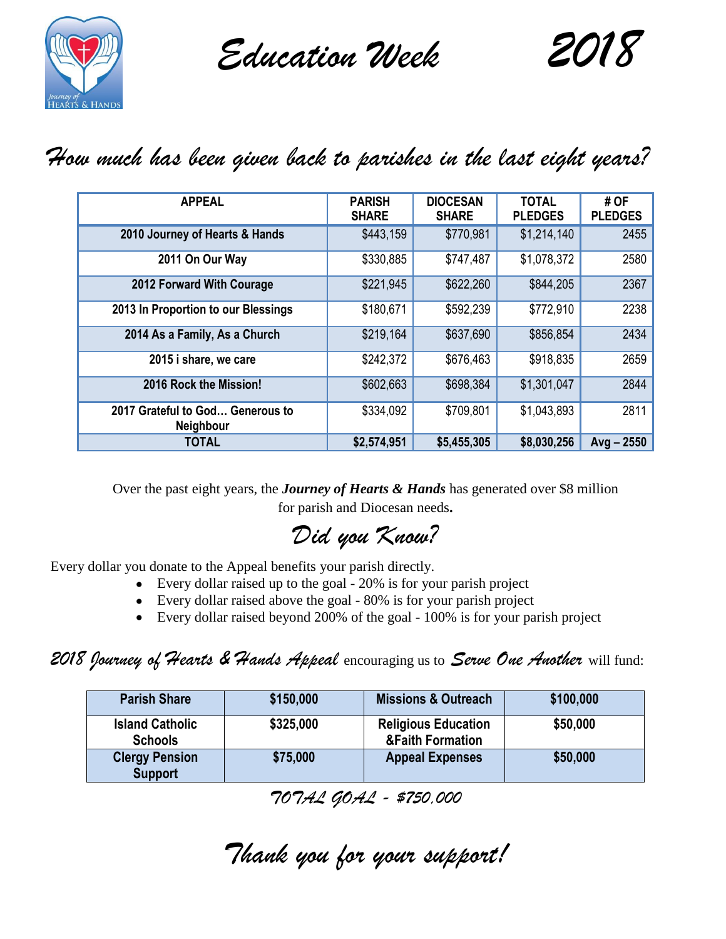

*Education Week 2018*



## *How much has been given back to parishes in the last eight years?*

| <b>APPEAL</b>                                        | <b>PARISH</b><br><b>SHARE</b> | <b>DIOCESAN</b><br><b>SHARE</b> | <b>TOTAL</b><br><b>PLEDGES</b> | # OF<br><b>PLEDGES</b> |
|------------------------------------------------------|-------------------------------|---------------------------------|--------------------------------|------------------------|
| 2010 Journey of Hearts & Hands                       | \$443,159                     | \$770,981                       | \$1,214,140                    | 2455                   |
| 2011 On Our Way                                      | \$330,885                     | \$747,487                       | \$1,078,372                    | 2580                   |
| 2012 Forward With Courage                            | \$221,945                     | \$622,260                       | \$844,205                      | 2367                   |
| 2013 In Proportion to our Blessings                  | \$180,671                     | \$592,239                       | \$772,910                      | 2238                   |
| 2014 As a Family, As a Church                        | \$219,164                     | \$637,690                       | \$856,854                      | 2434                   |
| 2015 i share, we care                                | \$242,372                     | \$676,463                       | \$918,835                      | 2659                   |
| 2016 Rock the Mission!                               | \$602,663                     | \$698,384                       | \$1,301,047                    | 2844                   |
| 2017 Grateful to God Generous to<br><b>Neighbour</b> | \$334,092                     | \$709,801                       | \$1,043,893                    | 2811                   |
| <b>TOTAL</b>                                         | \$2,574,951                   | \$5,455,305                     | \$8,030,256                    | $Avg - 2550$           |

Over the past eight years, the *Journey of Hearts & Hands* has generated over \$8 million for parish and Diocesan needs**.**

*Did you Know?*

Every dollar you donate to the Appeal benefits your parish directly.

- Every dollar raised up to the goal 20% is for your parish project
- Every dollar raised above the goal 80% is for your parish project
- Every dollar raised beyond 200% of the goal 100% is for your parish project

### *2018 Journey of Hearts & Hands Appeal* encouraging us to *Serve One Another* will fund:

| <b>Parish Share</b>                      | \$150,000 | <b>Missions &amp; Outreach</b>                            | \$100,000 |
|------------------------------------------|-----------|-----------------------------------------------------------|-----------|
| <b>Island Catholic</b><br><b>Schools</b> | \$325,000 | <b>Religious Education</b><br><b>&amp;Faith Formation</b> | \$50,000  |
| <b>Clergy Pension</b><br><b>Support</b>  | \$75,000  | <b>Appeal Expenses</b>                                    | \$50,000  |

*TOTAL GOAL - \$750,000*

*Thank you for your support!*